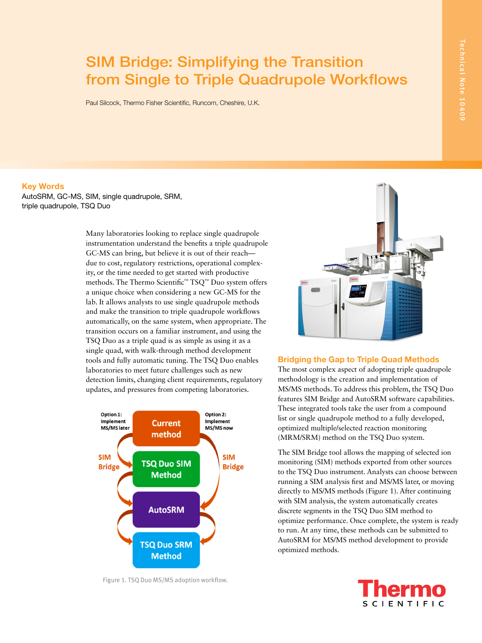# SIM Bridge: Simplifying the Transition from Single to Triple Quadrupole Workflows

Paul Silcock, Thermo Fisher Scientific, Runcorn, Cheshire, U.K.

Key Words

AutoSRM, GC-MS, SIM, single quadrupole, SRM, triple quadrupole, TSQ Duo

> Many laboratories looking to replace single quadrupole instrumentation understand the benefits a triple quadrupole GC-MS can bring, but believe it is out of their reach due to cost, regulatory restrictions, operational complexity, or the time needed to get started with productive methods. The Thermo Scientific™ TSQ™ Duo system offers a unique choice when considering a new GC-MS for the lab. It allows analysts to use single quadrupole methods and make the transition to triple quadrupole workflows automatically, on the same system, when appropriate. The transition occurs on a familiar instrument, and using the TSQ Duo as a triple quad is as simple as using it as a single quad, with walk-through method development tools and fully automatic tuning. The TSQ Duo enables laboratories to meet future challenges such as new detection limits, changing client requirements, regulatory updates, and pressures from competing laboratories.



Figure 1. TSQ Duo MS/MS adoption workflow.



## Bridging the Gap to Triple Quad Methods

The most complex aspect of adopting triple quadrupole methodology is the creation and implementation of MS/MS methods. To address this problem, the TSQ Duo features SIM Bridge and AutoSRM software capabilities. These integrated tools take the user from a compound list or single quadrupole method to a fully developed, optimized multiple/selected reaction monitoring (MRM/SRM) method on the TSQ Duo system.

The SIM Bridge tool allows the mapping of selected ion monitoring (SIM) methods exported from other sources to the TSQ Duo instrument. Analysts can choose between running a SIM analysis first and MS/MS later, or moving directly to MS/MS methods (Figure 1). After continuing with SIM analysis, the system automatically creates discrete segments in the TSQ Duo SIM method to optimize performance. Once complete, the system is ready to run. At any time, these methods can be submitted to AutoSRM for MS/MS method development to provide optimized methods.

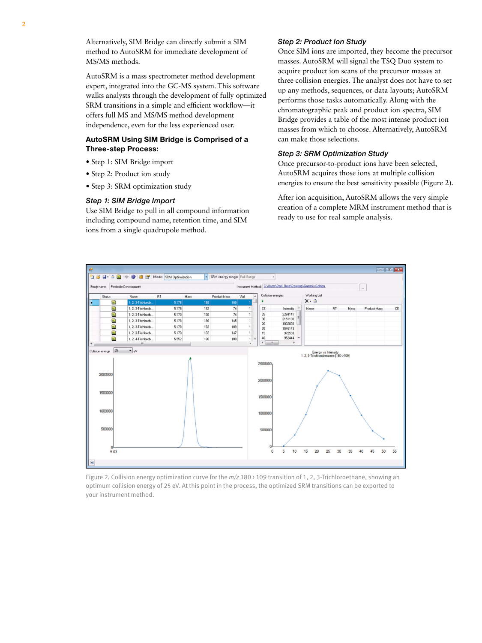Alternatively, SIM Bridge can directly submit a SIM method to AutoSRM for immediate development of MS/MS methods.

AutoSRM is a mass spectrometer method development expert, integrated into the GC-MS system. This software walks analysts through the development of fully optimized SRM transitions in a simple and efficient workflow—it offers full MS and MS/MS method development independence, even for the less experienced user.

## AutoSRM Using SIM Bridge is Comprised of a Three-step Process:

- Step 1: SIM Bridge import
- Step 2: Product ion study
- Step 3: SRM optimization study

#### *Step 1: SIM Bridge Import*

Use SIM Bridge to pull in all compound information including compound name, retention time, and SIM ions from a single quadrupole method.

#### *Step 2: Product Ion Study*

Once SIM ions are imported, they become the precursor masses. AutoSRM will signal the TSQ Duo system to acquire product ion scans of the precursor masses at three collision energies. The analyst does not have to set up any methods, sequences, or data layouts; AutoSRM performs those tasks automatically. Along with the chromatographic peak and product ion spectra, SIM Bridge provides a table of the most intense product ion masses from which to choose. Alternatively, AutoSRM can make those selections.

#### *Step 3: SRM Optimization Study*

Once precursor-to-product ions have been selected, AutoSRM acquires those ions at multiple collision energies to ensure the best sensitivity possible (Figure 2).

After ion acquisition, AutoSRM allows the very simple creation of a complete MRM instrument method that is ready to use for real sample analysis.



Figure 2. Collision energy optimization curve for the *m/z* 180 > 109 transition of 1, 2, 3-Trichloroethane, showing an optimum collision energy of 25 eV. At this point in the process, the optimized SRM transitions can be exported to your instrument method.